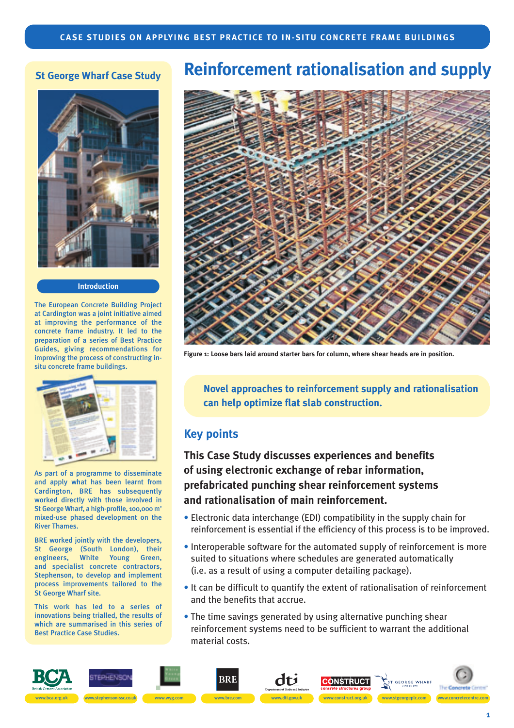## **St George Wharf Case Study**



#### **Introduction**

The European Concrete Building Project at Cardington was a joint initiative aimed at improving the performance of the concrete frame industry. It led to the preparation of a series of Best Practice Guides, giving recommendations for improving the process of constructing insitu concrete frame buildings.



As part of a programme to disseminate and apply what has been learnt from Cardington, BRE has subsequently worked directly with those involved in St George Wharf, a high-profile, 100,000 m<sup>2</sup> mixed-use phased development on the River Thames.

BRE worked jointly with the developers, St George (South London), their engineers, White Young Green, and specialist concrete contractors, Stephenson, to develop and implement process improvements tailored to the St George Wharf site.

This work has led to a series of innovations being trialled, the results of which are summarised in this series of Best Practice Case Studies.

# **Reinforcement rationalisation and supply**



**Figure 1: Loose bars laid around starter bars for column, where shear heads are in position.**

**Novel approaches to reinforcement supply and rationalisation can help optimize flat slab construction.**

#### **Key points**

**This Case Study discusses experiences and benefits of using electronic exchange of rebar information, prefabricated punching shear reinforcement systems and rationalisation of main reinforcement.**

- Electronic data interchange (EDI) compatibility in the supply chain for reinforcement is essential if the efficiency of this process is to be improved.
- Interoperable software for the automated supply of reinforcement is more suited to situations where schedules are generated automatically (i.e. as a result of using a computer detailing package).
- It can be difficult to quantify the extent of rationalisation of reinforcement and the benefits that accrue.
- The time savings generated by using alternative punching shear reinforcement systems need to be sufficient to warrant the additional material costs.

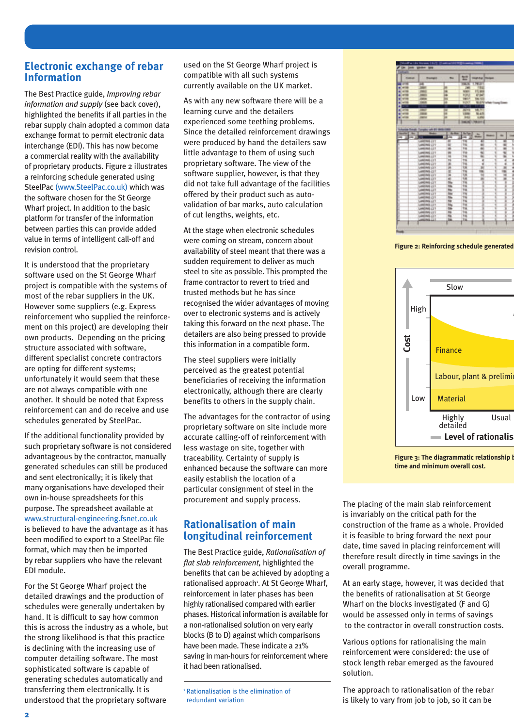#### **Electronic exchange of rebar Information**

The Best Practice guide, *Improving rebar information and supply* (see back cover), highlighted the benefits if all parties in the rebar supply chain adopted a common data exchange format to permit electronic data interchange (EDI). This has now become a commercial reality with the availability of proprietary products. Figure 2 illustrates a reinforcing schedule generated using SteelPac (www.SteelPac.co.uk) which was the software chosen for the St George Wharf project. In addition to the basic platform for transfer of the information between parties this can provide added value in terms of intelligent call-off and revision control.

It is understood that the proprietary software used on the St George Wharf project is compatible with the systems of most of the rebar suppliers in the UK. However some suppliers (e.g. Express reinforcement who supplied the reinforcement on this project) are developing their own products. Depending on the pricing structure associated with software, different specialist concrete contractors are opting for different systems; unfortunately it would seem that these are not always compatible with one another. It should be noted that Express reinforcement can and do receive and use schedules generated by SteelPac.

If the additional functionality provided by such proprietary software is not considered advantageous by the contractor, manually generated schedules can still be produced and sent electronically; it is likely that many organisations have developed their own in-house spreadsheets for this purpose. The spreadsheet available at www.structural-engineering.fsnet.co.uk is believed to have the advantage as it has been modified to export to a SteelPac file format, which may then be imported by rebar suppliers who have the relevant EDI module.

For the St George Wharf project the detailed drawings and the production of schedules were generally undertaken by hand. It is difficult to say how common this is across the industry as a whole, but the strong likelihood is that this practice is declining with the increasing use of computer detailing software. The most sophisticated software is capable of generating schedules automatically and transferring them electronically. It is understood that the proprietary software

used on the St George Wharf project is compatible with all such systems currently available on the UK market.

As with any new software there will be a learning curve and the detailers experienced some teething problems. Since the detailed reinforcement drawings were produced by hand the detailers saw little advantage to them of using such proprietary software. The view of the software supplier, however, is that they did not take full advantage of the facilities offered by their product such as autovalidation of bar marks, auto calculation of cut lengths, weights, etc.

At the stage when electronic schedules were coming on stream, concern about availability of steel meant that there was a sudden requirement to deliver as much steel to site as possible. This prompted the frame contractor to revert to tried and trusted methods but he has since recognised the wider advantages of moving over to electronic systems and is actively taking this forward on the next phase. The detailers are also being pressed to provide this information in a compatible form.

The steel suppliers were initially perceived as the greatest potential beneficiaries of receiving the information electronically, although there are clearly benefits to others in the supply chain.

The advantages for the contractor of using proprietary software on site include more accurate calling-off of reinforcement with less wastage on site, together with traceability. Certainty of supply is enhanced because the software can more easily establish the location of a particular consignment of steel in the procurement and supply process.

## **Rationalisation of main longitudinal reinforcement**

The Best Practice guide, *Rationalisation of flat slab reinforcement,* highlighted the benefits that can be achieved by adopting a rationalised approach<sup>1</sup>. At St George Wharf, reinforcement in later phases has been highly rationalised compared with earlier phases. Historical information is available for a non-rationalised solution on very early blocks (B to D) against which comparisons have been made. These indicate a 21% saving in man-hours for reinforcement where it had been rationalised.



**Figure 2: Reinforcing schedule generated** 



**Figure 3: The diagrammatic relationship b time and minimum overall cost.**

The placing of the main slab reinforcement is invariably on the critical path for the construction of the frame as a whole. Provided it is feasible to bring forward the next pour date, time saved in placing reinforcement will therefore result directly in time savings in the overall programme.

At an early stage, however, it was decided that the benefits of rationalisation at St George Wharf on the blocks investigated (F and G) would be assessed only in terms of savings to the contractor in overall construction costs.

Various options for rationalising the main reinforcement were considered: the use of stock length rebar emerged as the favoured solution.

The approach to rationalisation of the rebar is likely to vary from job to job, so it can be

<sup>1</sup> Rationalisation is the elimination of redundant variation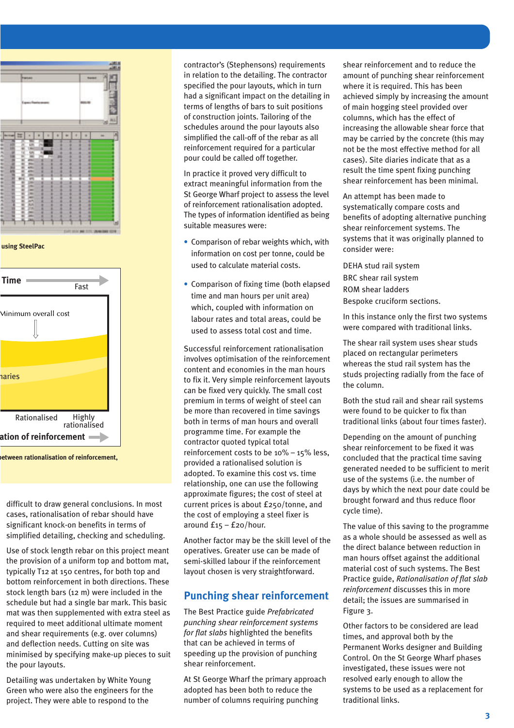

**using SteelPac**



**between rationalisation of reinforcement,** 

difficult to draw general conclusions. In most cases, rationalisation of rebar should have significant knock-on benefits in terms of simplified detailing, checking and scheduling.

Use of stock length rebar on this project meant the provision of a uniform top and bottom mat, typically T12 at 150 centres, for both top and bottom reinforcement in both directions. These stock length bars (12 m) were included in the schedule but had a single bar mark. This basic mat was then supplemented with extra steel as required to meet additional ultimate moment and shear requirements (e.g. over columns) and deflection needs. Cutting on site was minimised by specifying make-up pieces to suit the pour layouts.

Detailing was undertaken by White Young Green who were also the engineers for the project. They were able to respond to the

contractor's (Stephensons) requirements in relation to the detailing. The contractor specified the pour layouts, which in turn had a significant impact on the detailing in terms of lengths of bars to suit positions of construction joints. Tailoring of the schedules around the pour layouts also simplified the call-off of the rebar as all reinforcement required for a particular pour could be called off together.

In practice it proved very difficult to extract meaningful information from the St George Wharf project to assess the level of reinforcement rationalisation adopted. The types of information identified as being suitable measures were:

- Comparison of rebar weights which, with information on cost per tonne, could be used to calculate material costs.
- Comparison of fixing time (both elapsed time and man hours per unit area) which, coupled with information on labour rates and total areas, could be used to assess total cost and time.

Successful reinforcement rationalisation involves optimisation of the reinforcement content and economies in the man hours to fix it. Very simple reinforcement layouts can be fixed very quickly. The small cost premium in terms of weight of steel can be more than recovered in time savings both in terms of man hours and overall programme time. For example the contractor quoted typical total reinforcement costs to be 10% – 15% less, provided a rationalised solution is adopted. To examine this cost vs. time relationship, one can use the following approximate figures; the cost of steel at current prices is about £250/tonne, and the cost of employing a steel fixer is around  $f_{15} - f_{20}$ /hour.

Another factor may be the skill level of the operatives. Greater use can be made of semi-skilled labour if the reinforcement layout chosen is very straightforward.

#### **Punching shear reinforcement**

The Best Practice guide *Prefabricated punching shear reinforcement systems for flat slabs* highlighted the benefits that can be achieved in terms of speeding up the provision of punching shear reinforcement.

At St George Wharf the primary approach adopted has been both to reduce the number of columns requiring punching

shear reinforcement and to reduce the amount of punching shear reinforcement where it is required. This has been achieved simply by increasing the amount of main hogging steel provided over columns, which has the effect of increasing the allowable shear force that may be carried by the concrete (this may not be the most effective method for all cases). Site diaries indicate that as a result the time spent fixing punching shear reinforcement has been minimal.

An attempt has been made to systematically compare costs and benefits of adopting alternative punching shear reinforcement systems. The systems that it was originally planned to consider were:

DEHA stud rail system BRC shear rail system ROM shear ladders Bespoke cruciform sections.

In this instance only the first two systems were compared with traditional links.

The shear rail system uses shear studs placed on rectangular perimeters whereas the stud rail system has the studs projecting radially from the face of the column.

Both the stud rail and shear rail systems were found to be quicker to fix than traditional links (about four times faster).

Depending on the amount of punching shear reinforcement to be fixed it was concluded that the practical time saving generated needed to be sufficient to merit use of the systems (i.e. the number of days by which the next pour date could be brought forward and thus reduce floor cycle time).

The value of this saving to the programme as a whole should be assessed as well as the direct balance between reduction in man hours offset against the additional material cost of such systems. The Best Practice guide, *Rationalisation of flat slab reinforcement* discusses this in more detail; the issues are summarised in Figure 3.

Other factors to be considered are lead times, and approval both by the Permanent Works designer and Building Control. On the St George Wharf phases investigated, these issues were not resolved early enough to allow the systems to be used as a replacement for traditional links.